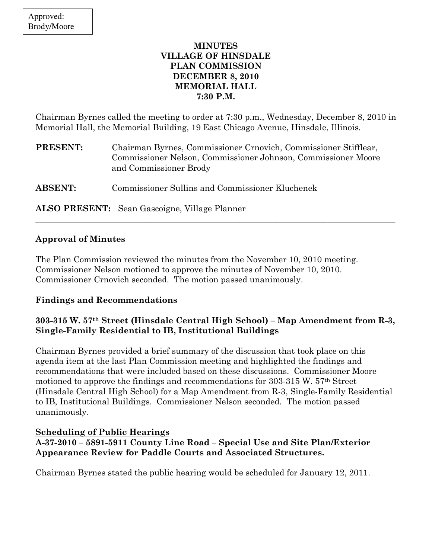## MINUTES VILLAGE OF HINSDALE PLAN COMMISSION DECEMBER 8, 2010 MEMORIAL HALL 7:30 P.M.

Chairman Byrnes called the meeting to order at 7:30 p.m., Wednesday, December 8, 2010 in Memorial Hall, the Memorial Building, 19 East Chicago Avenue, Hinsdale, Illinois.

| <b>PRESENT:</b> | Chairman Byrnes, Commissioner Crnovich, Commissioner Stifflear,<br>Commissioner Nelson, Commissioner Johnson, Commissioner Moore<br>and Commissioner Brody |
|-----------------|------------------------------------------------------------------------------------------------------------------------------------------------------------|
| <b>ABSENT:</b>  | Commissioner Sullins and Commissioner Kluchenek                                                                                                            |

\_\_\_\_\_\_\_\_\_\_\_\_\_\_\_\_\_\_\_\_\_\_\_\_\_\_\_\_\_\_\_\_\_\_\_\_\_\_\_\_\_\_\_\_\_\_\_\_\_\_\_\_\_\_\_\_\_\_\_\_\_\_\_\_\_\_\_\_\_\_\_\_\_\_\_\_\_\_\_\_\_\_\_\_\_

ALSO PRESENT: Sean Gascoigne, Village Planner

## Approval of Minutes

The Plan Commission reviewed the minutes from the November 10, 2010 meeting. Commissioner Nelson motioned to approve the minutes of November 10, 2010. Commissioner Crnovich seconded. The motion passed unanimously.

# Findings and Recommendations

# 303-315 W. 57th Street (Hinsdale Central High School) – Map Amendment from R-3, Single-Family Residential to IB, Institutional Buildings

Chairman Byrnes provided a brief summary of the discussion that took place on this agenda item at the last Plan Commission meeting and highlighted the findings and recommendations that were included based on these discussions. Commissioner Moore motioned to approve the findings and recommendations for 303-315 W. 57th Street (Hinsdale Central High School) for a Map Amendment from R-3, Single-Family Residential to IB, Institutional Buildings. Commissioner Nelson seconded. The motion passed unanimously.

# Scheduling of Public Hearings

A-37-2010 – 5891-5911 County Line Road – Special Use and Site Plan/Exterior Appearance Review for Paddle Courts and Associated Structures.

Chairman Byrnes stated the public hearing would be scheduled for January 12, 2011.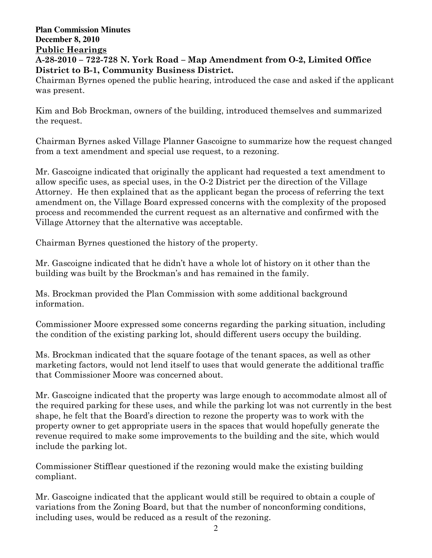### **Plan Commission Minutes December 8, 2010**  Public Hearings A-28-2010 – 722-728 N. York Road – Map Amendment from O-2, Limited Office District to B-1, Community Business District.

Chairman Byrnes opened the public hearing, introduced the case and asked if the applicant was present.

Kim and Bob Brockman, owners of the building, introduced themselves and summarized the request.

Chairman Byrnes asked Village Planner Gascoigne to summarize how the request changed from a text amendment and special use request, to a rezoning.

Mr. Gascoigne indicated that originally the applicant had requested a text amendment to allow specific uses, as special uses, in the O-2 District per the direction of the Village Attorney. He then explained that as the applicant began the process of referring the text amendment on, the Village Board expressed concerns with the complexity of the proposed process and recommended the current request as an alternative and confirmed with the Village Attorney that the alternative was acceptable.

Chairman Byrnes questioned the history of the property.

Mr. Gascoigne indicated that he didn't have a whole lot of history on it other than the building was built by the Brockman's and has remained in the family.

Ms. Brockman provided the Plan Commission with some additional background information.

Commissioner Moore expressed some concerns regarding the parking situation, including the condition of the existing parking lot, should different users occupy the building.

Ms. Brockman indicated that the square footage of the tenant spaces, as well as other marketing factors, would not lend itself to uses that would generate the additional traffic that Commissioner Moore was concerned about.

Mr. Gascoigne indicated that the property was large enough to accommodate almost all of the required parking for these uses, and while the parking lot was not currently in the best shape, he felt that the Board's direction to rezone the property was to work with the property owner to get appropriate users in the spaces that would hopefully generate the revenue required to make some improvements to the building and the site, which would include the parking lot.

Commissioner Stifflear questioned if the rezoning would make the existing building compliant.

Mr. Gascoigne indicated that the applicant would still be required to obtain a couple of variations from the Zoning Board, but that the number of nonconforming conditions, including uses, would be reduced as a result of the rezoning.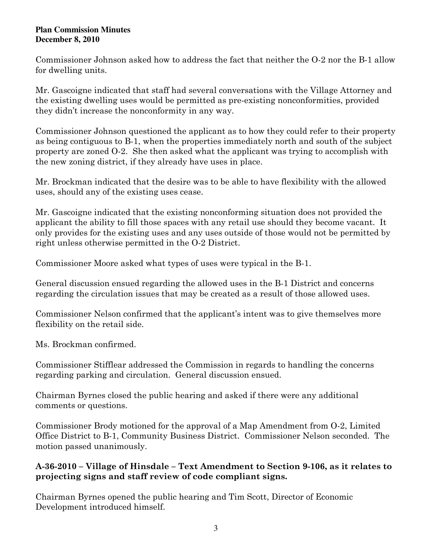Commissioner Johnson asked how to address the fact that neither the O-2 nor the B-1 allow for dwelling units.

Mr. Gascoigne indicated that staff had several conversations with the Village Attorney and the existing dwelling uses would be permitted as pre-existing nonconformities, provided they didn't increase the nonconformity in any way.

Commissioner Johnson questioned the applicant as to how they could refer to their property as being contiguous to B-1, when the properties immediately north and south of the subject property are zoned O-2. She then asked what the applicant was trying to accomplish with the new zoning district, if they already have uses in place.

Mr. Brockman indicated that the desire was to be able to have flexibility with the allowed uses, should any of the existing uses cease.

Mr. Gascoigne indicated that the existing nonconforming situation does not provided the applicant the ability to fill those spaces with any retail use should they become vacant. It only provides for the existing uses and any uses outside of those would not be permitted by right unless otherwise permitted in the O-2 District.

Commissioner Moore asked what types of uses were typical in the B-1.

General discussion ensued regarding the allowed uses in the B-1 District and concerns regarding the circulation issues that may be created as a result of those allowed uses.

Commissioner Nelson confirmed that the applicant's intent was to give themselves more flexibility on the retail side.

Ms. Brockman confirmed.

Commissioner Stifflear addressed the Commission in regards to handling the concerns regarding parking and circulation. General discussion ensued.

Chairman Byrnes closed the public hearing and asked if there were any additional comments or questions.

Commissioner Brody motioned for the approval of a Map Amendment from O-2, Limited Office District to B-1, Community Business District. Commissioner Nelson seconded. The motion passed unanimously.

# A-36-2010 – Village of Hinsdale – Text Amendment to Section 9-106, as it relates to projecting signs and staff review of code compliant signs.

Chairman Byrnes opened the public hearing and Tim Scott, Director of Economic Development introduced himself.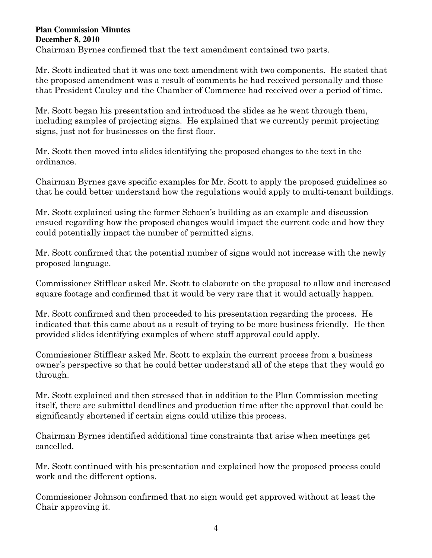Chairman Byrnes confirmed that the text amendment contained two parts.

Mr. Scott indicated that it was one text amendment with two components. He stated that the proposed amendment was a result of comments he had received personally and those that President Cauley and the Chamber of Commerce had received over a period of time.

Mr. Scott began his presentation and introduced the slides as he went through them, including samples of projecting signs. He explained that we currently permit projecting signs, just not for businesses on the first floor.

Mr. Scott then moved into slides identifying the proposed changes to the text in the ordinance.

Chairman Byrnes gave specific examples for Mr. Scott to apply the proposed guidelines so that he could better understand how the regulations would apply to multi-tenant buildings.

Mr. Scott explained using the former Schoen's building as an example and discussion ensued regarding how the proposed changes would impact the current code and how they could potentially impact the number of permitted signs.

Mr. Scott confirmed that the potential number of signs would not increase with the newly proposed language.

Commissioner Stifflear asked Mr. Scott to elaborate on the proposal to allow and increased square footage and confirmed that it would be very rare that it would actually happen.

Mr. Scott confirmed and then proceeded to his presentation regarding the process. He indicated that this came about as a result of trying to be more business friendly. He then provided slides identifying examples of where staff approval could apply.

Commissioner Stifflear asked Mr. Scott to explain the current process from a business owner's perspective so that he could better understand all of the steps that they would go through.

Mr. Scott explained and then stressed that in addition to the Plan Commission meeting itself, there are submittal deadlines and production time after the approval that could be significantly shortened if certain signs could utilize this process.

Chairman Byrnes identified additional time constraints that arise when meetings get cancelled.

Mr. Scott continued with his presentation and explained how the proposed process could work and the different options.

Commissioner Johnson confirmed that no sign would get approved without at least the Chair approving it.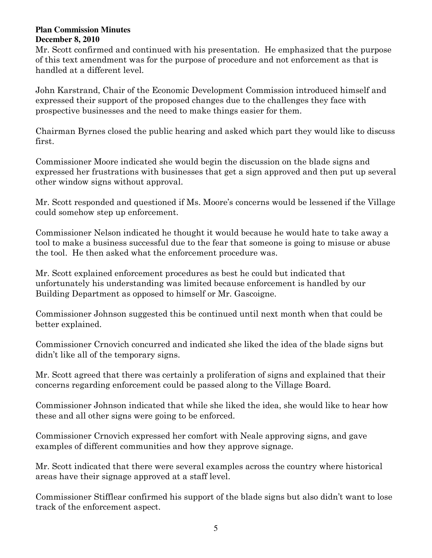Mr. Scott confirmed and continued with his presentation. He emphasized that the purpose of this text amendment was for the purpose of procedure and not enforcement as that is handled at a different level.

John Karstrand, Chair of the Economic Development Commission introduced himself and expressed their support of the proposed changes due to the challenges they face with prospective businesses and the need to make things easier for them.

Chairman Byrnes closed the public hearing and asked which part they would like to discuss first.

Commissioner Moore indicated she would begin the discussion on the blade signs and expressed her frustrations with businesses that get a sign approved and then put up several other window signs without approval.

Mr. Scott responded and questioned if Ms. Moore's concerns would be lessened if the Village could somehow step up enforcement.

Commissioner Nelson indicated he thought it would because he would hate to take away a tool to make a business successful due to the fear that someone is going to misuse or abuse the tool. He then asked what the enforcement procedure was.

Mr. Scott explained enforcement procedures as best he could but indicated that unfortunately his understanding was limited because enforcement is handled by our Building Department as opposed to himself or Mr. Gascoigne.

Commissioner Johnson suggested this be continued until next month when that could be better explained.

Commissioner Crnovich concurred and indicated she liked the idea of the blade signs but didn't like all of the temporary signs.

Mr. Scott agreed that there was certainly a proliferation of signs and explained that their concerns regarding enforcement could be passed along to the Village Board.

Commissioner Johnson indicated that while she liked the idea, she would like to hear how these and all other signs were going to be enforced.

Commissioner Crnovich expressed her comfort with Neale approving signs, and gave examples of different communities and how they approve signage.

Mr. Scott indicated that there were several examples across the country where historical areas have their signage approved at a staff level.

Commissioner Stifflear confirmed his support of the blade signs but also didn't want to lose track of the enforcement aspect.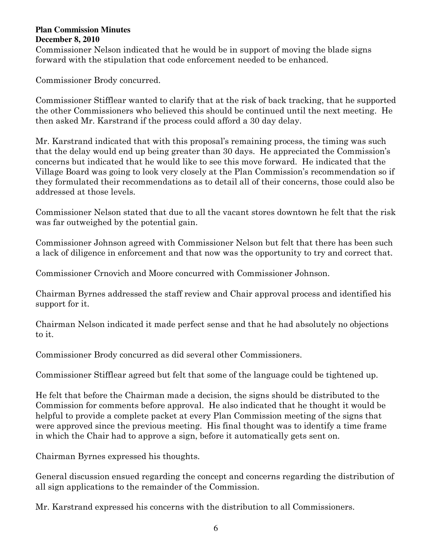Commissioner Nelson indicated that he would be in support of moving the blade signs forward with the stipulation that code enforcement needed to be enhanced.

Commissioner Brody concurred.

Commissioner Stifflear wanted to clarify that at the risk of back tracking, that he supported the other Commissioners who believed this should be continued until the next meeting. He then asked Mr. Karstrand if the process could afford a 30 day delay.

Mr. Karstrand indicated that with this proposal's remaining process, the timing was such that the delay would end up being greater than 30 days. He appreciated the Commission's concerns but indicated that he would like to see this move forward. He indicated that the Village Board was going to look very closely at the Plan Commission's recommendation so if they formulated their recommendations as to detail all of their concerns, those could also be addressed at those levels.

Commissioner Nelson stated that due to all the vacant stores downtown he felt that the risk was far outweighed by the potential gain.

Commissioner Johnson agreed with Commissioner Nelson but felt that there has been such a lack of diligence in enforcement and that now was the opportunity to try and correct that.

Commissioner Crnovich and Moore concurred with Commissioner Johnson.

Chairman Byrnes addressed the staff review and Chair approval process and identified his support for it.

Chairman Nelson indicated it made perfect sense and that he had absolutely no objections to it.

Commissioner Brody concurred as did several other Commissioners.

Commissioner Stifflear agreed but felt that some of the language could be tightened up.

He felt that before the Chairman made a decision, the signs should be distributed to the Commission for comments before approval. He also indicated that he thought it would be helpful to provide a complete packet at every Plan Commission meeting of the signs that were approved since the previous meeting. His final thought was to identify a time frame in which the Chair had to approve a sign, before it automatically gets sent on.

Chairman Byrnes expressed his thoughts.

General discussion ensued regarding the concept and concerns regarding the distribution of all sign applications to the remainder of the Commission.

Mr. Karstrand expressed his concerns with the distribution to all Commissioners.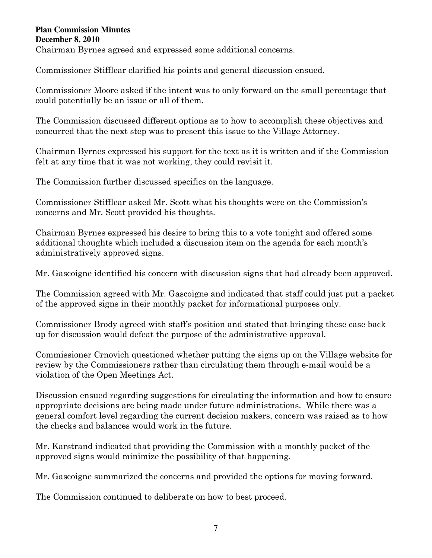Chairman Byrnes agreed and expressed some additional concerns.

Commissioner Stifflear clarified his points and general discussion ensued.

Commissioner Moore asked if the intent was to only forward on the small percentage that could potentially be an issue or all of them.

The Commission discussed different options as to how to accomplish these objectives and concurred that the next step was to present this issue to the Village Attorney.

Chairman Byrnes expressed his support for the text as it is written and if the Commission felt at any time that it was not working, they could revisit it.

The Commission further discussed specifics on the language.

Commissioner Stifflear asked Mr. Scott what his thoughts were on the Commission's concerns and Mr. Scott provided his thoughts.

Chairman Byrnes expressed his desire to bring this to a vote tonight and offered some additional thoughts which included a discussion item on the agenda for each month's administratively approved signs.

Mr. Gascoigne identified his concern with discussion signs that had already been approved.

The Commission agreed with Mr. Gascoigne and indicated that staff could just put a packet of the approved signs in their monthly packet for informational purposes only.

Commissioner Brody agreed with staff's position and stated that bringing these case back up for discussion would defeat the purpose of the administrative approval.

Commissioner Crnovich questioned whether putting the signs up on the Village website for review by the Commissioners rather than circulating them through e-mail would be a violation of the Open Meetings Act.

Discussion ensued regarding suggestions for circulating the information and how to ensure appropriate decisions are being made under future administrations. While there was a general comfort level regarding the current decision makers, concern was raised as to how the checks and balances would work in the future.

Mr. Karstrand indicated that providing the Commission with a monthly packet of the approved signs would minimize the possibility of that happening.

Mr. Gascoigne summarized the concerns and provided the options for moving forward.

The Commission continued to deliberate on how to best proceed.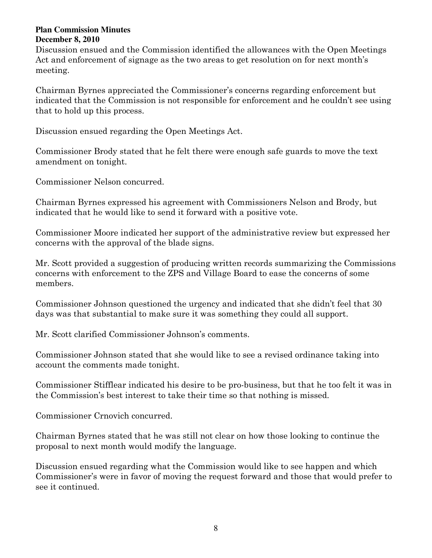Discussion ensued and the Commission identified the allowances with the Open Meetings Act and enforcement of signage as the two areas to get resolution on for next month's meeting.

Chairman Byrnes appreciated the Commissioner's concerns regarding enforcement but indicated that the Commission is not responsible for enforcement and he couldn't see using that to hold up this process.

Discussion ensued regarding the Open Meetings Act.

Commissioner Brody stated that he felt there were enough safe guards to move the text amendment on tonight.

Commissioner Nelson concurred.

Chairman Byrnes expressed his agreement with Commissioners Nelson and Brody, but indicated that he would like to send it forward with a positive vote.

Commissioner Moore indicated her support of the administrative review but expressed her concerns with the approval of the blade signs.

Mr. Scott provided a suggestion of producing written records summarizing the Commissions concerns with enforcement to the ZPS and Village Board to ease the concerns of some members.

Commissioner Johnson questioned the urgency and indicated that she didn't feel that 30 days was that substantial to make sure it was something they could all support.

Mr. Scott clarified Commissioner Johnson's comments.

Commissioner Johnson stated that she would like to see a revised ordinance taking into account the comments made tonight.

Commissioner Stifflear indicated his desire to be pro-business, but that he too felt it was in the Commission's best interest to take their time so that nothing is missed.

Commissioner Crnovich concurred.

Chairman Byrnes stated that he was still not clear on how those looking to continue the proposal to next month would modify the language.

Discussion ensued regarding what the Commission would like to see happen and which Commissioner's were in favor of moving the request forward and those that would prefer to see it continued.